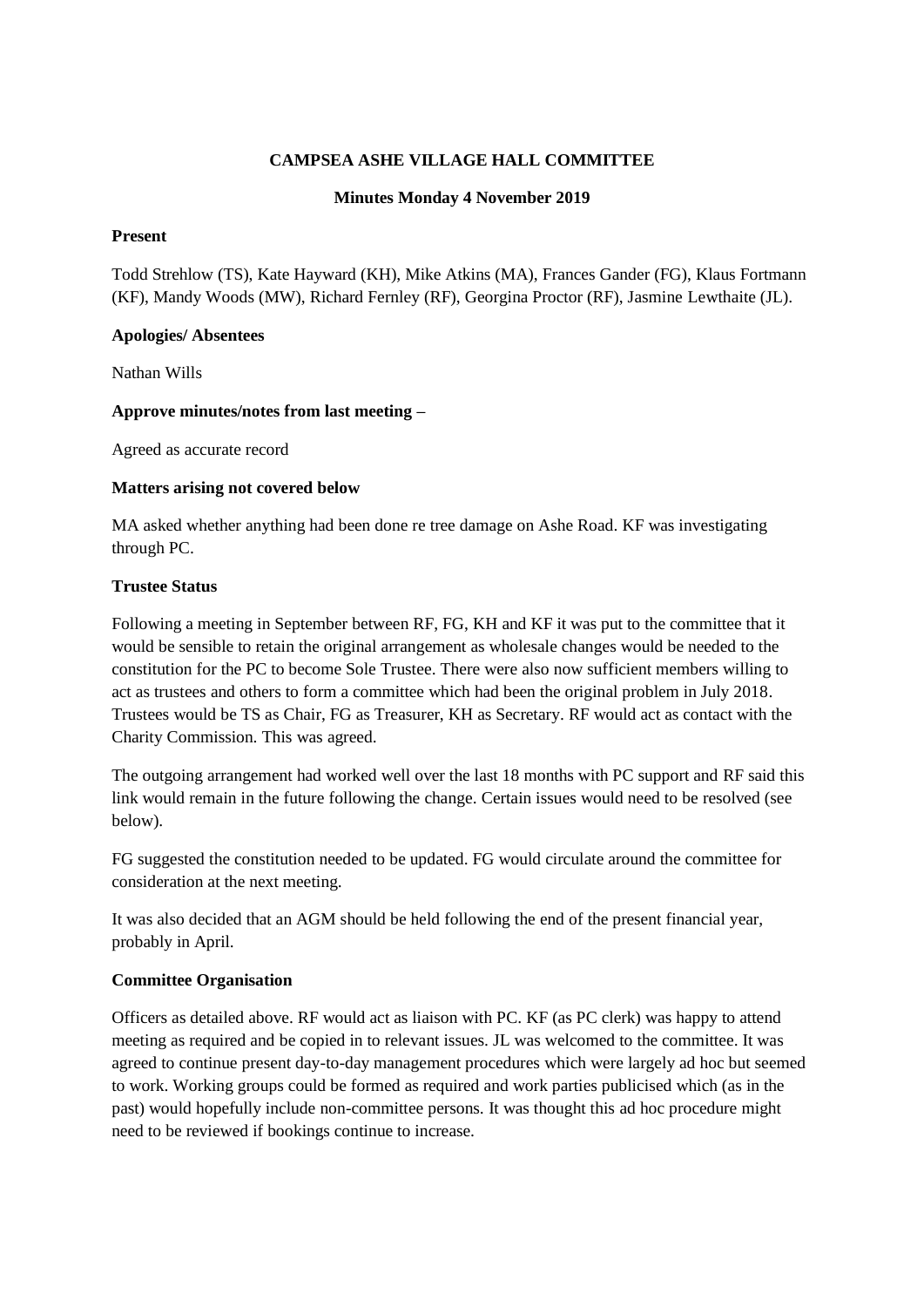# **CAMPSEA ASHE VILLAGE HALL COMMITTEE**

### **Minutes Monday 4 November 2019**

### **Present**

Todd Strehlow (TS), Kate Hayward (KH), Mike Atkins (MA), Frances Gander (FG), Klaus Fortmann (KF), Mandy Woods (MW), Richard Fernley (RF), Georgina Proctor (RF), Jasmine Lewthaite (JL).

#### **Apologies/ Absentees**

Nathan Wills

### **Approve minutes/notes from last meeting –**

Agreed as accurate record

### **Matters arising not covered below**

MA asked whether anything had been done re tree damage on Ashe Road. KF was investigating through PC.

### **Trustee Status**

Following a meeting in September between RF, FG, KH and KF it was put to the committee that it would be sensible to retain the original arrangement as wholesale changes would be needed to the constitution for the PC to become Sole Trustee. There were also now sufficient members willing to act as trustees and others to form a committee which had been the original problem in July 2018. Trustees would be TS as Chair, FG as Treasurer, KH as Secretary. RF would act as contact with the Charity Commission. This was agreed.

The outgoing arrangement had worked well over the last 18 months with PC support and RF said this link would remain in the future following the change. Certain issues would need to be resolved (see below).

FG suggested the constitution needed to be updated. FG would circulate around the committee for consideration at the next meeting.

It was also decided that an AGM should be held following the end of the present financial year, probably in April.

### **Committee Organisation**

Officers as detailed above. RF would act as liaison with PC. KF (as PC clerk) was happy to attend meeting as required and be copied in to relevant issues. JL was welcomed to the committee. It was agreed to continue present day-to-day management procedures which were largely ad hoc but seemed to work. Working groups could be formed as required and work parties publicised which (as in the past) would hopefully include non-committee persons. It was thought this ad hoc procedure might need to be reviewed if bookings continue to increase.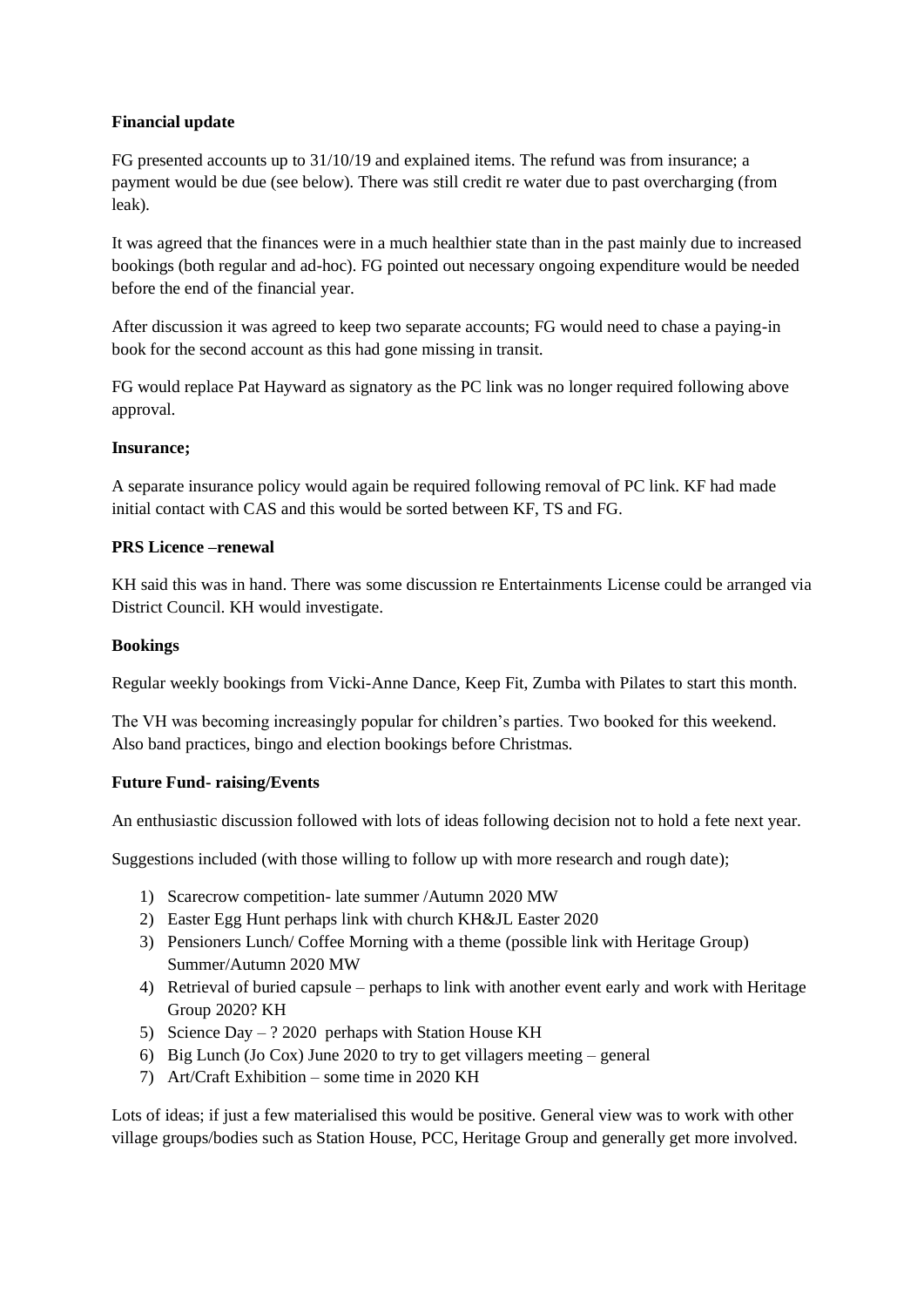# **Financial update**

FG presented accounts up to 31/10/19 and explained items. The refund was from insurance; a payment would be due (see below). There was still credit re water due to past overcharging (from leak).

It was agreed that the finances were in a much healthier state than in the past mainly due to increased bookings (both regular and ad-hoc). FG pointed out necessary ongoing expenditure would be needed before the end of the financial year.

After discussion it was agreed to keep two separate accounts; FG would need to chase a paying-in book for the second account as this had gone missing in transit.

FG would replace Pat Hayward as signatory as the PC link was no longer required following above approval.

### **Insurance;**

A separate insurance policy would again be required following removal of PC link. KF had made initial contact with CAS and this would be sorted between KF, TS and FG.

### **PRS Licence –renewal**

KH said this was in hand. There was some discussion re Entertainments License could be arranged via District Council. KH would investigate.

### **Bookings**

Regular weekly bookings from Vicki-Anne Dance, Keep Fit, Zumba with Pilates to start this month.

The VH was becoming increasingly popular for children's parties. Two booked for this weekend. Also band practices, bingo and election bookings before Christmas.

### **Future Fund- raising/Events**

An enthusiastic discussion followed with lots of ideas following decision not to hold a fete next year.

Suggestions included (with those willing to follow up with more research and rough date);

- 1) Scarecrow competition- late summer /Autumn 2020 MW
- 2) Easter Egg Hunt perhaps link with church KH&JL Easter 2020
- 3) Pensioners Lunch/ Coffee Morning with a theme (possible link with Heritage Group) Summer/Autumn 2020 MW
- 4) Retrieval of buried capsule perhaps to link with another event early and work with Heritage Group 2020? KH
- 5) Science Day ? 2020 perhaps with Station House KH
- 6) Big Lunch (Jo Cox) June 2020 to try to get villagers meeting general
- 7) Art/Craft Exhibition some time in 2020 KH

Lots of ideas; if just a few materialised this would be positive. General view was to work with other village groups/bodies such as Station House, PCC, Heritage Group and generally get more involved.